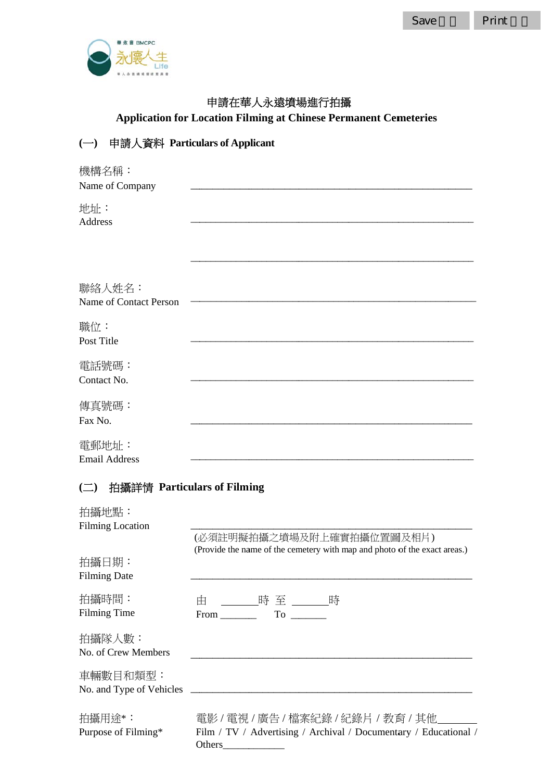Save



### 申請在華人永遠墳場進行拍攝

**Application for Location Filming at Chinese Permanent Cemeteries** 

# (一) 申請人資料 Particulars of Applicant

| 機構名稱:                  |  |
|------------------------|--|
| Name of Company        |  |
| 地址:                    |  |
| Address                |  |
|                        |  |
|                        |  |
|                        |  |
| 聯絡人姓名:                 |  |
| Name of Contact Person |  |
|                        |  |
| 職位:                    |  |
| Post Title             |  |
|                        |  |
| 電話號碼:                  |  |
| Contact No.            |  |
| 傳真號碼:                  |  |
| Fax No.                |  |
|                        |  |
| 電郵地址:                  |  |
| <b>Email Address</b>   |  |

# (二) 拍攝詳情 Particulars of Filming

| 拍攝地點:<br><b>Filming Location</b> | (必須註明擬拍攝之墳場及附上確實拍攝位置圖及相片)                                                                                                                                                                                                                                       |
|----------------------------------|-----------------------------------------------------------------------------------------------------------------------------------------------------------------------------------------------------------------------------------------------------------------|
| 拍攝日期:<br><b>Filming Date</b>     | (Provide the name of the cemetery with map and photo of the exact areas.)                                                                                                                                                                                       |
| 拍攝時間:<br>Filming Time            | 由 _______時 至 _______時<br>To the contract of the contract of the contract of the contract of the contract of the contract of the contract of the contract of the contract of the contract of the contract of the contract of the contract of the contrac<br>From |
| 拍攝隊人數:<br>No. of Crew Members    |                                                                                                                                                                                                                                                                 |
| 車輛數目和類型:                         |                                                                                                                                                                                                                                                                 |
| 拍攝用途*:<br>Purpose of Filming*    | 電影/電視/廣告/檔案紀錄/紀錄片/教育/其他<br>Film / TV / Advertising / Archival / Documentary / Educational /<br>Others                                                                                                                                                           |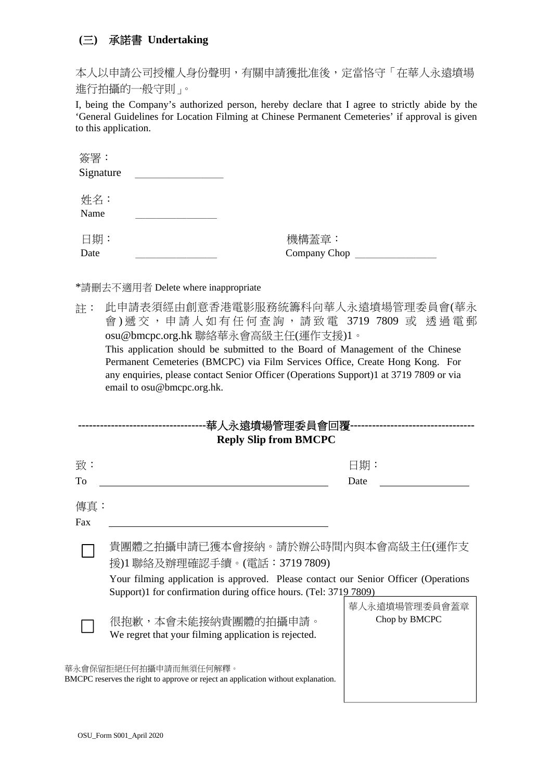### **(**三**)** 承諾書 **Undertaking**

本人以申請公司授權人身份聲明,有關申請獲批准後,定當恪守「在華人永遠墳場 進行拍攝的一般守則」。

I, being the Company's authorized person, hereby declare that I agree to strictly abide by the 'General Guidelines for Location Filming at Chinese Permanent Cemeteries' if approval is given to this application.

| 簽署:       |              |
|-----------|--------------|
| Signature |              |
|           |              |
| 姓名:       |              |
| Name      |              |
|           |              |
| 日期:       | 機構蓋章:        |
| Date      | Company Chop |

\*請刪去不適用者 Delete where inappropriate

註: 此申請表須經由創意香港電影服務統籌科向華人永遠墳場管理委員會(華永 會) 遞交,申請人如有任何查詢,請致電 3719 7809 或 透過電郵 osu@bmcpc.org.hk 聯絡華永會高級主任(運作支援)1。 This application should be submitted to the Board of Management of the Chinese Permanent Cemeteries (BMCPC) via Film Services Office, Create Hong Kong. For any enquiries, please contact Senior Officer (Operations Support)1 at 3719 7809 or via email to osu@bmcpc.org.hk.

| ·華人永遠墳場管理委員會回覆-              |                                                                                                            |                                |  |  |
|------------------------------|------------------------------------------------------------------------------------------------------------|--------------------------------|--|--|
| <b>Reply Slip from BMCPC</b> |                                                                                                            |                                |  |  |
| 致:                           |                                                                                                            | 日期:                            |  |  |
| To                           |                                                                                                            | Date                           |  |  |
| 傳真:                          |                                                                                                            |                                |  |  |
| Fax                          |                                                                                                            |                                |  |  |
|                              | 貴團體之拍攝申請已獲本會接納。請於辦公時間內與本會高級主任(運作支<br>援)1 聯絡及辦理確認手續。(電話:3719 7809)                                          |                                |  |  |
|                              | Your filming application is approved. Please contact our Senior Officer (Operations                        |                                |  |  |
|                              | Support)1 for confirmation during office hours. (Tel: 3719 7809)                                           |                                |  |  |
|                              | 很抱歉,本會未能接納貴團體的拍攝申請。<br>We regret that your filming application is rejected.                                | 華人永遠墳場管理委員會蓋章<br>Chop by BMCPC |  |  |
|                              | 華永會保留拒絕任何拍攝申請而無須任何解釋。<br>BMCPC reserves the right to approve or reject an application without explanation. |                                |  |  |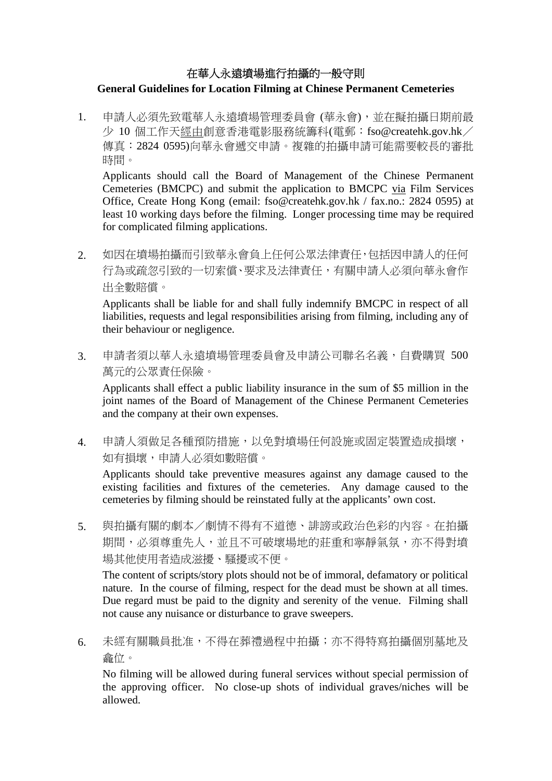### 在華人永遠墳場進行拍攝的一般守則

#### **General Guidelines for Location Filming at Chinese Permanent Cemeteries**

1. 申請人必須先致電華人永遠墳場管理委員會 (華永會),並在擬拍攝日期前最  $\overline{\psi}$  10 個工作天經由創意香港電影服務統籌科(電郵:fso@createhk.gov.hk/ 傳真:2824 0595)向華永會遞交申請。複雜的拍攝申請可能需要較長的審批 時間。

Applicants should call the Board of Management of the Chinese Permanent Cemeteries (BMCPC) and submit the application to BMCPC via Film Services Office, Create Hong Kong (email: fso@createhk.gov.hk / fax.no.: 2824 0595) at least 10 working days before the filming. Longer processing time may be required for complicated filming applications.

2. 如因在墳場拍攝而引致華永會負上任何公眾法律責任,包括因申請人的任何 行為或疏忽引致的一切索償、要求及法律責任,有關申請人必須向華永會作 出全數賠償。

Applicants shall be liable for and shall fully indemnify BMCPC in respect of all liabilities, requests and legal responsibilities arising from filming, including any of their behaviour or negligence.

3. 申請者須以華人永遠墳場管理委員會及申請公司聯名名義,自費購買 500 萬元的公眾責任保險。

Applicants shall effect a public liability insurance in the sum of \$5 million in the joint names of the Board of Management of the Chinese Permanent Cemeteries and the company at their own expenses.

4. 申請人須做足各種預防措施,以免對墳場任何設施或固定裝置造成損壞, 如有損壞,申請人必須如數賠償。

Applicants should take preventive measures against any damage caused to the existing facilities and fixtures of the cemeteries. Any damage caused to the cemeteries by filming should be reinstated fully at the applicants' own cost.

5. 與拍攝有關的劇本/劇情不得有不道德、誹謗或政治色彩的內容。在拍攝 期間,必須尊重先人,並且不可破壞場地的莊重和寧靜氣氛,亦不得對墳 場其他使用者造成滋擾、騷擾或不便。

The content of scripts/story plots should not be of immoral, defamatory or political nature. In the course of filming, respect for the dead must be shown at all times. Due regard must be paid to the dignity and serenity of the venue. Filming shall not cause any nuisance or disturbance to grave sweepers.

6. 未經有關職員批准,不得在葬禮過程中拍攝;亦不得特寫拍攝個別墓地及 龕位。

No filming will be allowed during funeral services without special permission of the approving officer. No close-up shots of individual graves/niches will be allowed.